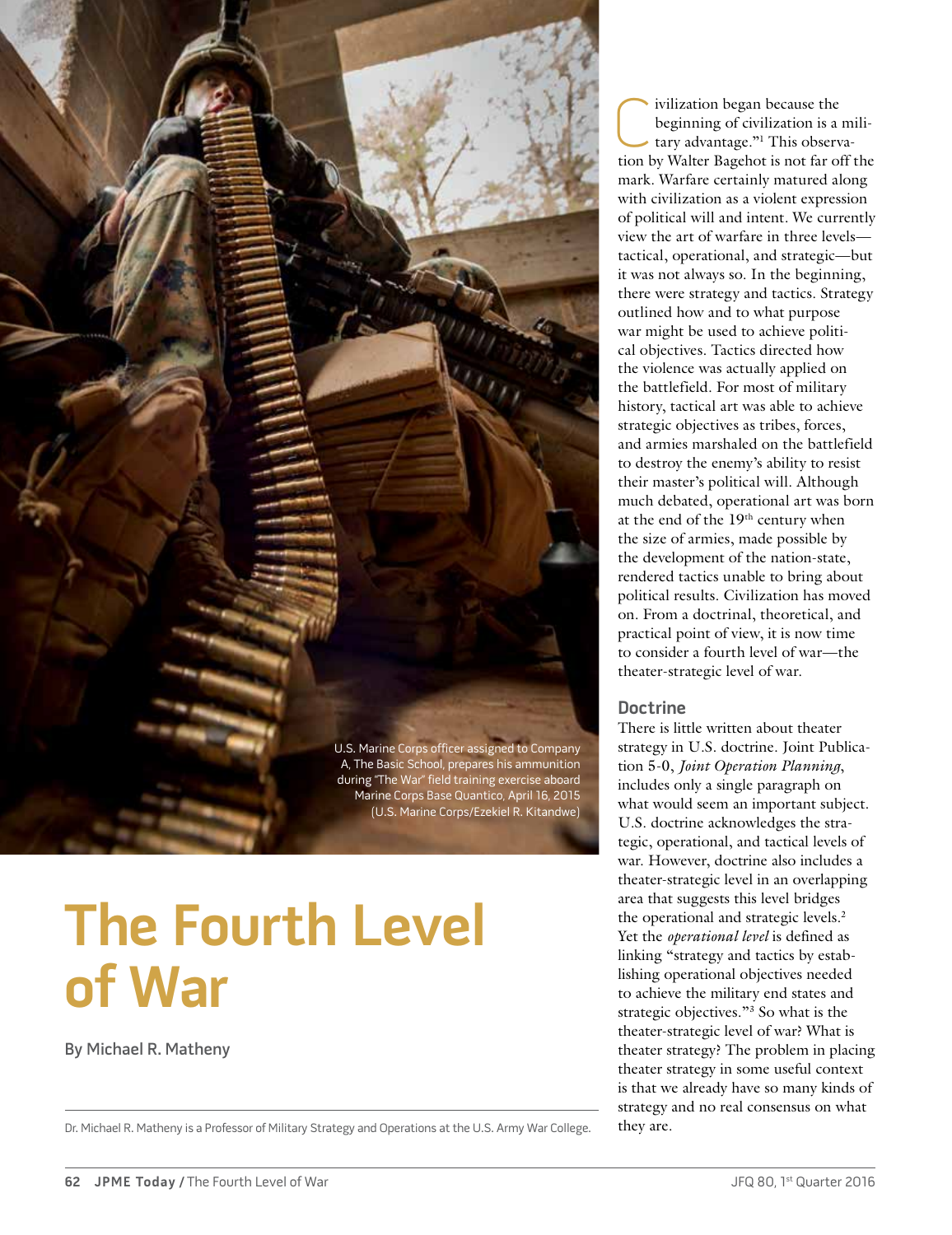

# **The Fourth Level of War**

By Michael R. Matheny

Dr. Michael R. Matheny is a Professor of Military Strategy and Operations at the U.S. Army War College. they are.

ivilization began because the<br>beginning of civilization is a tary advantage."<sup>1</sup> This observe tion by Walter Bagebot is not far of beginning of civilization is a military advantage."1 This observation by Walter Bagehot is not far off the mark. Warfare certainly matured along with civilization as a violent expression of political will and intent. We currently view the art of warfare in three levels tactical, operational, and strategic—but it was not always so. In the beginning, there were strategy and tactics. Strategy outlined how and to what purpose war might be used to achieve political objectives. Tactics directed how the violence was actually applied on the battlefield. For most of military history, tactical art was able to achieve strategic objectives as tribes, forces, and armies marshaled on the battlefield to destroy the enemy's ability to resist their master's political will. Although much debated, operational art was born at the end of the 19<sup>th</sup> century when the size of armies, made possible by the development of the nation-state, rendered tactics unable to bring about political results. Civilization has moved on. From a doctrinal, theoretical, and practical point of view, it is now time to consider a fourth level of war—the theater-strategic level of war.

## **Doctrine**

There is little written about theater strategy in U.S. doctrine. Joint Publication 5-0, *Joint Operation Planning*, includes only a single paragraph on what would seem an important subject. U.S. doctrine acknowledges the strategic, operational, and tactical levels of war. However, doctrine also includes a theater-strategic level in an overlapping area that suggests this level bridges the operational and strategic levels.<sup>2</sup> Yet the *operational level* is defined as linking "strategy and tactics by establishing operational objectives needed to achieve the military end states and strategic objectives."3 So what is the theater-strategic level of war? What is theater strategy? The problem in placing theater strategy in some useful context is that we already have so many kinds of strategy and no real consensus on what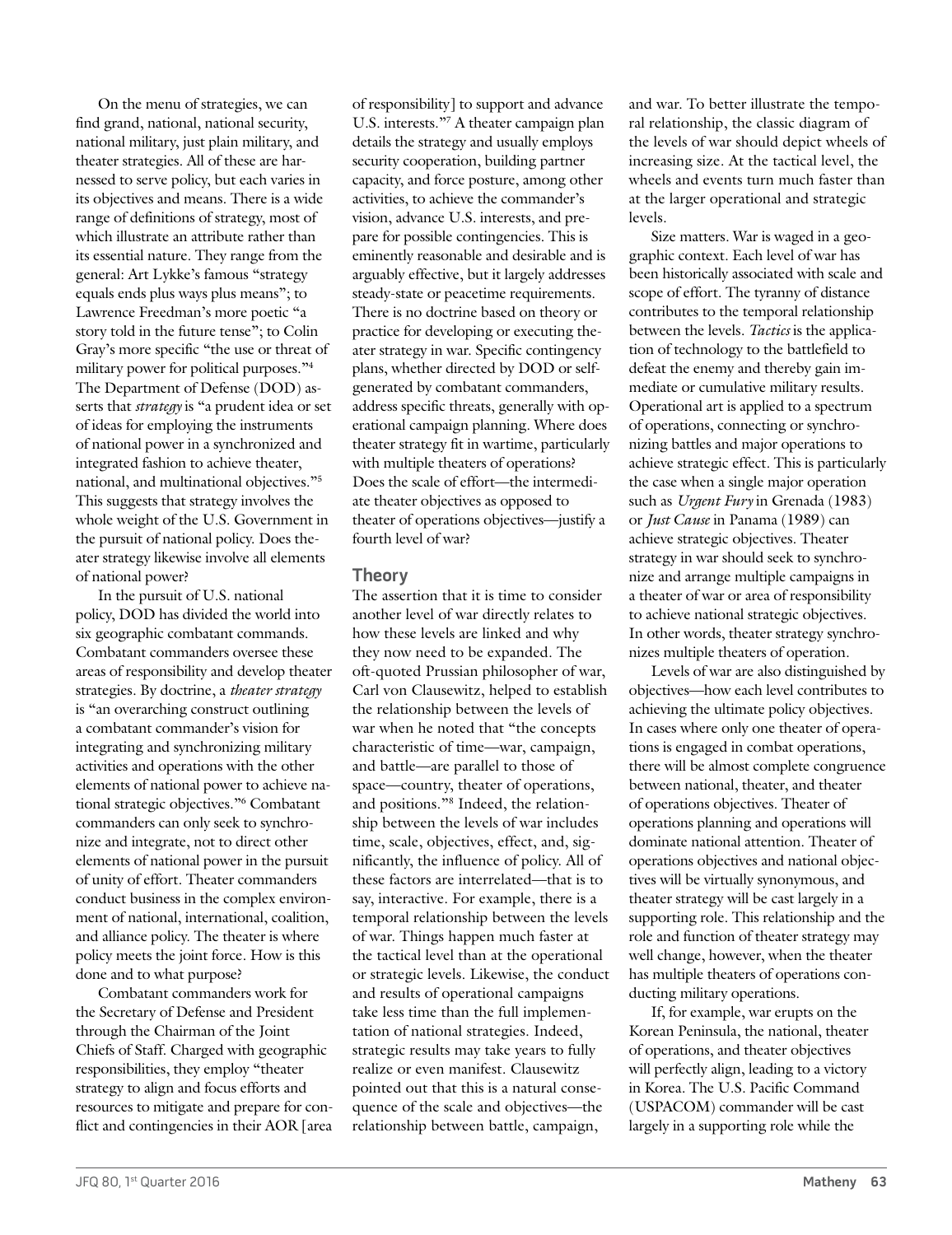On the menu of strategies, we can find grand, national, national security, national military, just plain military, and theater strategies. All of these are harnessed to serve policy, but each varies in its objectives and means. There is a wide range of definitions of strategy, most of which illustrate an attribute rather than its essential nature. They range from the general: Art Lykke's famous "strategy equals ends plus ways plus means"; to Lawrence Freedman's more poetic "a story told in the future tense"; to Colin Gray's more specific "the use or threat of military power for political purposes."4 The Department of Defense (DOD) asserts that *strategy* is "a prudent idea or set of ideas for employing the instruments of national power in a synchronized and integrated fashion to achieve theater, national, and multinational objectives."5 This suggests that strategy involves the whole weight of the U.S. Government in the pursuit of national policy. Does theater strategy likewise involve all elements of national power?

In the pursuit of U.S. national policy, DOD has divided the world into six geographic combatant commands. Combatant commanders oversee these areas of responsibility and develop theater strategies. By doctrine, a *theater strategy* is "an overarching construct outlining a combatant commander's vision for integrating and synchronizing military activities and operations with the other elements of national power to achieve national strategic objectives."6 Combatant commanders can only seek to synchronize and integrate, not to direct other elements of national power in the pursuit of unity of effort. Theater commanders conduct business in the complex environment of national, international, coalition, and alliance policy. The theater is where policy meets the joint force. How is this done and to what purpose?

Combatant commanders work for the Secretary of Defense and President through the Chairman of the Joint Chiefs of Staff. Charged with geographic responsibilities, they employ "theater strategy to align and focus efforts and resources to mitigate and prepare for conflict and contingencies in their AOR [area of responsibility] to support and advance U.S. interests."7 A theater campaign plan details the strategy and usually employs security cooperation, building partner capacity, and force posture, among other activities, to achieve the commander's vision, advance U.S. interests, and prepare for possible contingencies. This is eminently reasonable and desirable and is arguably effective, but it largely addresses steady-state or peacetime requirements. There is no doctrine based on theory or practice for developing or executing theater strategy in war. Specific contingency plans, whether directed by DOD or selfgenerated by combatant commanders, address specific threats, generally with operational campaign planning. Where does theater strategy fit in wartime, particularly with multiple theaters of operations? Does the scale of effort—the intermediate theater objectives as opposed to theater of operations objectives—justify a fourth level of war?

# **Theory**

The assertion that it is time to consider another level of war directly relates to how these levels are linked and why they now need to be expanded. The oft-quoted Prussian philosopher of war, Carl von Clausewitz, helped to establish the relationship between the levels of war when he noted that "the concepts characteristic of time—war, campaign, and battle—are parallel to those of space—country, theater of operations, and positions."8 Indeed, the relationship between the levels of war includes time, scale, objectives, effect, and, significantly, the influence of policy. All of these factors are interrelated—that is to say, interactive. For example, there is a temporal relationship between the levels of war. Things happen much faster at the tactical level than at the operational or strategic levels. Likewise, the conduct and results of operational campaigns take less time than the full implementation of national strategies. Indeed, strategic results may take years to fully realize or even manifest. Clausewitz pointed out that this is a natural consequence of the scale and objectives—the relationship between battle, campaign,

and war. To better illustrate the temporal relationship, the classic diagram of the levels of war should depict wheels of increasing size. At the tactical level, the wheels and events turn much faster than at the larger operational and strategic levels.

Size matters. War is waged in a geographic context. Each level of war has been historically associated with scale and scope of effort. The tyranny of distance contributes to the temporal relationship between the levels. *Tactics* is the application of technology to the battlefield to defeat the enemy and thereby gain immediate or cumulative military results. Operational art is applied to a spectrum of operations, connecting or synchronizing battles and major operations to achieve strategic effect. This is particularly the case when a single major operation such as *Urgent Fury* in Grenada (1983) or *Just Cause* in Panama (1989) can achieve strategic objectives. Theater strategy in war should seek to synchronize and arrange multiple campaigns in a theater of war or area of responsibility to achieve national strategic objectives. In other words, theater strategy synchronizes multiple theaters of operation.

Levels of war are also distinguished by objectives—how each level contributes to achieving the ultimate policy objectives. In cases where only one theater of operations is engaged in combat operations, there will be almost complete congruence between national, theater, and theater of operations objectives. Theater of operations planning and operations will dominate national attention. Theater of operations objectives and national objectives will be virtually synonymous, and theater strategy will be cast largely in a supporting role. This relationship and the role and function of theater strategy may well change, however, when the theater has multiple theaters of operations conducting military operations.

If, for example, war erupts on the Korean Peninsula, the national, theater of operations, and theater objectives will perfectly align, leading to a victory in Korea. The U.S. Pacific Command (USPACOM) commander will be cast largely in a supporting role while the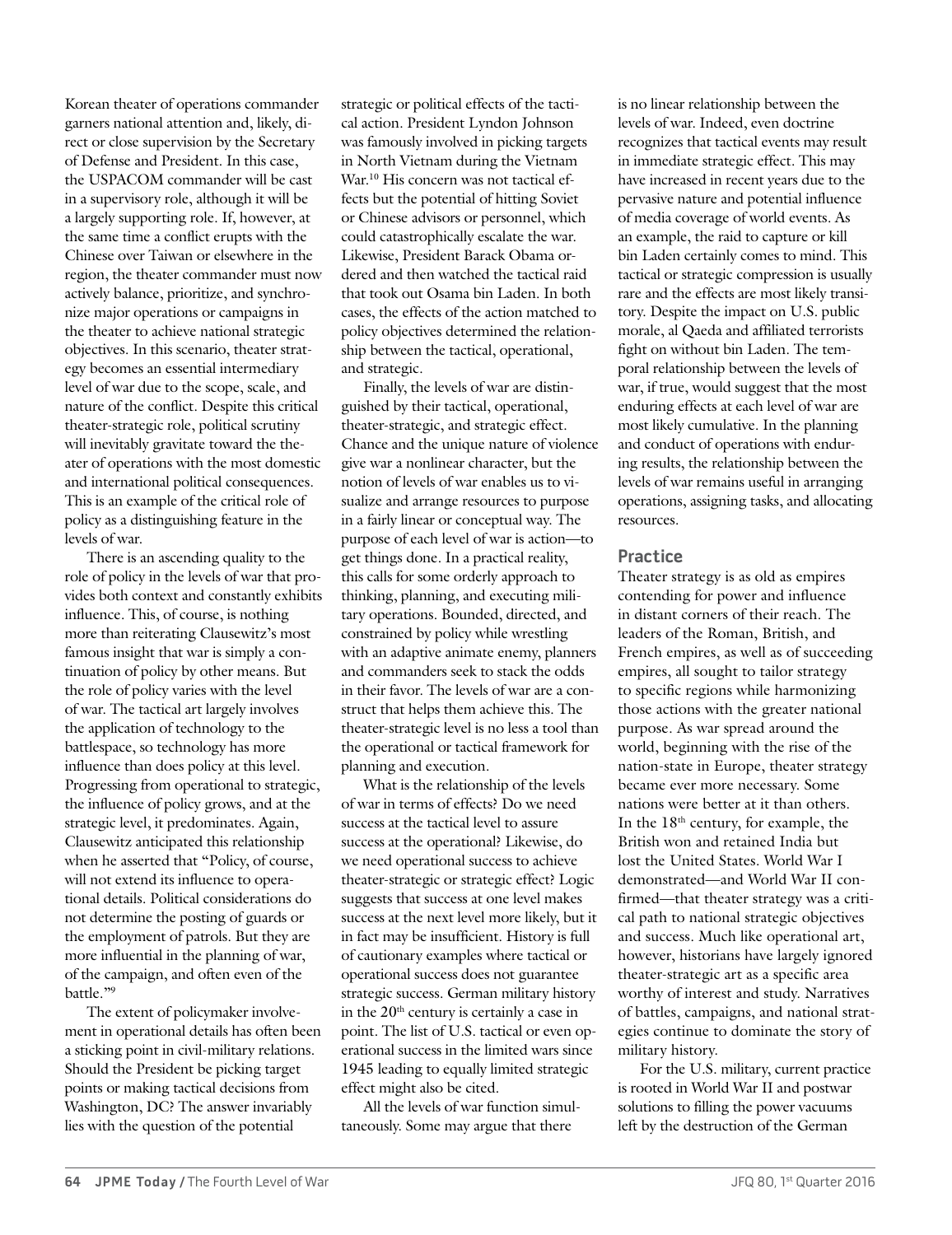Korean theater of operations commander garners national attention and, likely, direct or close supervision by the Secretary of Defense and President. In this case, the USPACOM commander will be cast in a supervisory role, although it will be a largely supporting role. If, however, at the same time a conflict erupts with the Chinese over Taiwan or elsewhere in the region, the theater commander must now actively balance, prioritize, and synchronize major operations or campaigns in the theater to achieve national strategic objectives. In this scenario, theater strategy becomes an essential intermediary level of war due to the scope, scale, and nature of the conflict. Despite this critical theater-strategic role, political scrutiny will inevitably gravitate toward the theater of operations with the most domestic and international political consequences. This is an example of the critical role of policy as a distinguishing feature in the levels of war.

There is an ascending quality to the role of policy in the levels of war that provides both context and constantly exhibits influence. This, of course, is nothing more than reiterating Clausewitz's most famous insight that war is simply a continuation of policy by other means. But the role of policy varies with the level of war. The tactical art largely involves the application of technology to the battlespace, so technology has more influence than does policy at this level. Progressing from operational to strategic, the influence of policy grows, and at the strategic level, it predominates. Again, Clausewitz anticipated this relationship when he asserted that "Policy, of course, will not extend its influence to operational details. Political considerations do not determine the posting of guards or the employment of patrols. But they are more influential in the planning of war, of the campaign, and often even of the battle."9

The extent of policymaker involvement in operational details has often been a sticking point in civil-military relations. Should the President be picking target points or making tactical decisions from Washington, DC? The answer invariably lies with the question of the potential

strategic or political effects of the tactical action. President Lyndon Johnson was famously involved in picking targets in North Vietnam during the Vietnam War.<sup>10</sup> His concern was not tactical effects but the potential of hitting Soviet or Chinese advisors or personnel, which could catastrophically escalate the war. Likewise, President Barack Obama ordered and then watched the tactical raid that took out Osama bin Laden. In both cases, the effects of the action matched to policy objectives determined the relationship between the tactical, operational, and strategic.

Finally, the levels of war are distinguished by their tactical, operational, theater-strategic, and strategic effect. Chance and the unique nature of violence give war a nonlinear character, but the notion of levels of war enables us to visualize and arrange resources to purpose in a fairly linear or conceptual way. The purpose of each level of war is action—to get things done. In a practical reality, this calls for some orderly approach to thinking, planning, and executing military operations. Bounded, directed, and constrained by policy while wrestling with an adaptive animate enemy, planners and commanders seek to stack the odds in their favor. The levels of war are a construct that helps them achieve this. The theater-strategic level is no less a tool than the operational or tactical framework for planning and execution.

What is the relationship of the levels of war in terms of effects? Do we need success at the tactical level to assure success at the operational? Likewise, do we need operational success to achieve theater-strategic or strategic effect? Logic suggests that success at one level makes success at the next level more likely, but it in fact may be insufficient. History is full of cautionary examples where tactical or operational success does not guarantee strategic success. German military history in the  $20<sup>th</sup>$  century is certainly a case in point. The list of U.S. tactical or even operational success in the limited wars since 1945 leading to equally limited strategic effect might also be cited.

All the levels of war function simultaneously. Some may argue that there

is no linear relationship between the levels of war. Indeed, even doctrine recognizes that tactical events may result in immediate strategic effect. This may have increased in recent years due to the pervasive nature and potential influence of media coverage of world events. As an example, the raid to capture or kill bin Laden certainly comes to mind. This tactical or strategic compression is usually rare and the effects are most likely transitory. Despite the impact on U.S. public morale, al Qaeda and affiliated terrorists fight on without bin Laden. The temporal relationship between the levels of war, if true, would suggest that the most enduring effects at each level of war are most likely cumulative. In the planning and conduct of operations with enduring results, the relationship between the levels of war remains useful in arranging operations, assigning tasks, and allocating resources.

## **Practice**

Theater strategy is as old as empires contending for power and influence in distant corners of their reach. The leaders of the Roman, British, and French empires, as well as of succeeding empires, all sought to tailor strategy to specific regions while harmonizing those actions with the greater national purpose. As war spread around the world, beginning with the rise of the nation-state in Europe, theater strategy became ever more necessary. Some nations were better at it than others. In the  $18<sup>th</sup>$  century, for example, the British won and retained India but lost the United States. World War I demonstrated—and World War II confirmed—that theater strategy was a critical path to national strategic objectives and success. Much like operational art, however, historians have largely ignored theater-strategic art as a specific area worthy of interest and study. Narratives of battles, campaigns, and national strategies continue to dominate the story of military history.

For the U.S. military, current practice is rooted in World War II and postwar solutions to filling the power vacuums left by the destruction of the German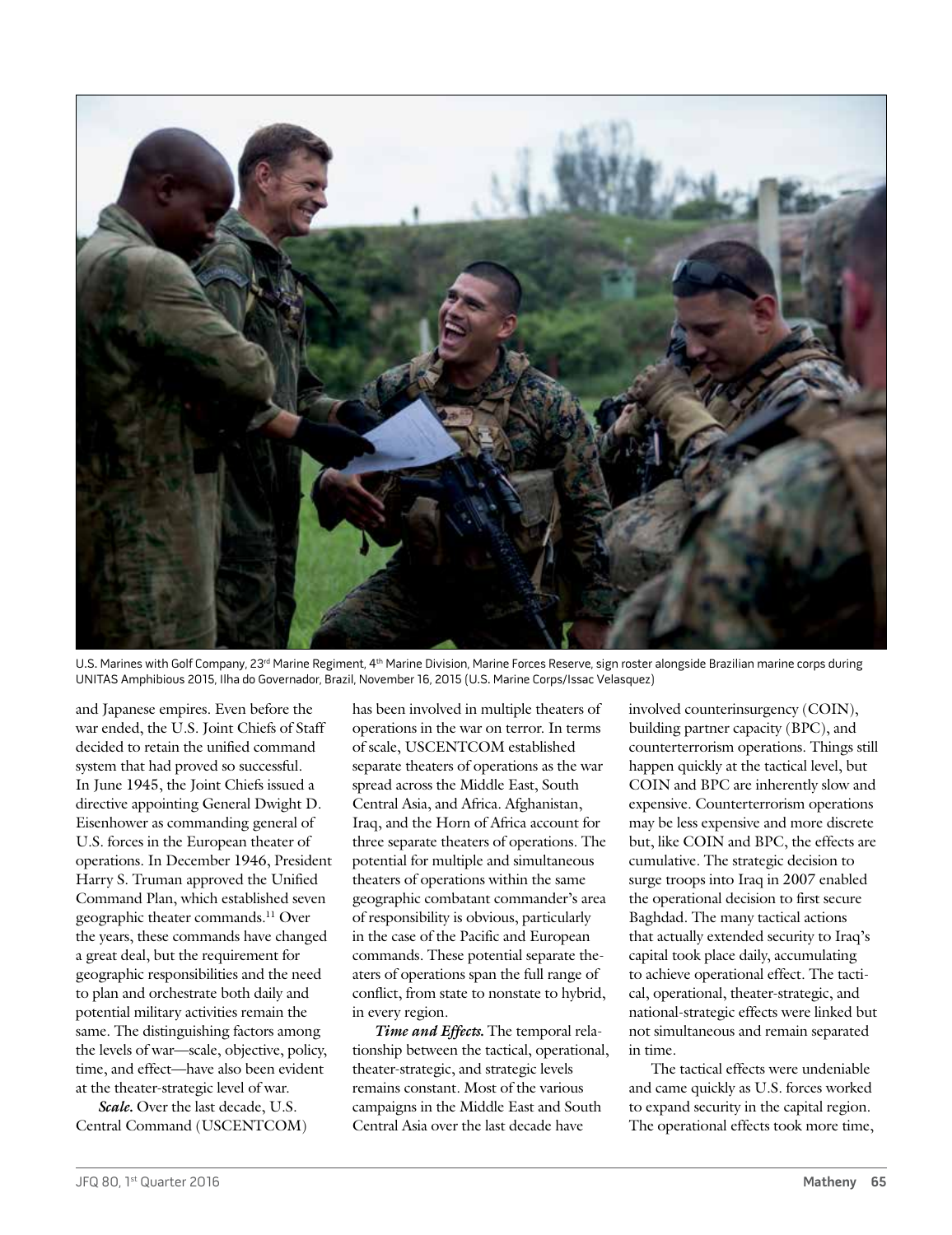

U.S. Marines with Golf Company, 23<sup>rd</sup> Marine Regiment, 4<sup>th</sup> Marine Division, Marine Forces Reserve, sign roster alongside Brazilian marine corps during UNITAS Amphibious 2015, Ilha do Governador, Brazil, November 16, 2015 (U.S. Marine Corps/Issac Velasquez)

and Japanese empires. Even before the war ended, the U.S. Joint Chiefs of Staff decided to retain the unified command system that had proved so successful. In June 1945, the Joint Chiefs issued a directive appointing General Dwight D. Eisenhower as commanding general of U.S. forces in the European theater of operations. In December 1946, President Harry S. Truman approved the Unified Command Plan, which established seven geographic theater commands.11 Over the years, these commands have changed a great deal, but the requirement for geographic responsibilities and the need to plan and orchestrate both daily and potential military activities remain the same. The distinguishing factors among the levels of war—scale, objective, policy, time, and effect—have also been evident at the theater-strategic level of war.

*Scale.* Over the last decade, U.S. Central Command (USCENTCOM) has been involved in multiple theaters of operations in the war on terror. In terms of scale, USCENTCOM established separate theaters of operations as the war spread across the Middle East, South Central Asia, and Africa. Afghanistan, Iraq, and the Horn of Africa account for three separate theaters of operations. The potential for multiple and simultaneous theaters of operations within the same geographic combatant commander's area of responsibility is obvious, particularly in the case of the Pacific and European commands. These potential separate theaters of operations span the full range of conflict, from state to nonstate to hybrid, in every region.

*Time and Effects.* The temporal relationship between the tactical, operational, theater-strategic, and strategic levels remains constant. Most of the various campaigns in the Middle East and South Central Asia over the last decade have

involved counterinsurgency (COIN), building partner capacity (BPC), and counterterrorism operations. Things still happen quickly at the tactical level, but COIN and BPC are inherently slow and expensive. Counterterrorism operations may be less expensive and more discrete but, like COIN and BPC, the effects are cumulative. The strategic decision to surge troops into Iraq in 2007 enabled the operational decision to first secure Baghdad. The many tactical actions that actually extended security to Iraq's capital took place daily, accumulating to achieve operational effect. The tactical, operational, theater-strategic, and national-strategic effects were linked but not simultaneous and remain separated in time.

The tactical effects were undeniable and came quickly as U.S. forces worked to expand security in the capital region. The operational effects took more time,